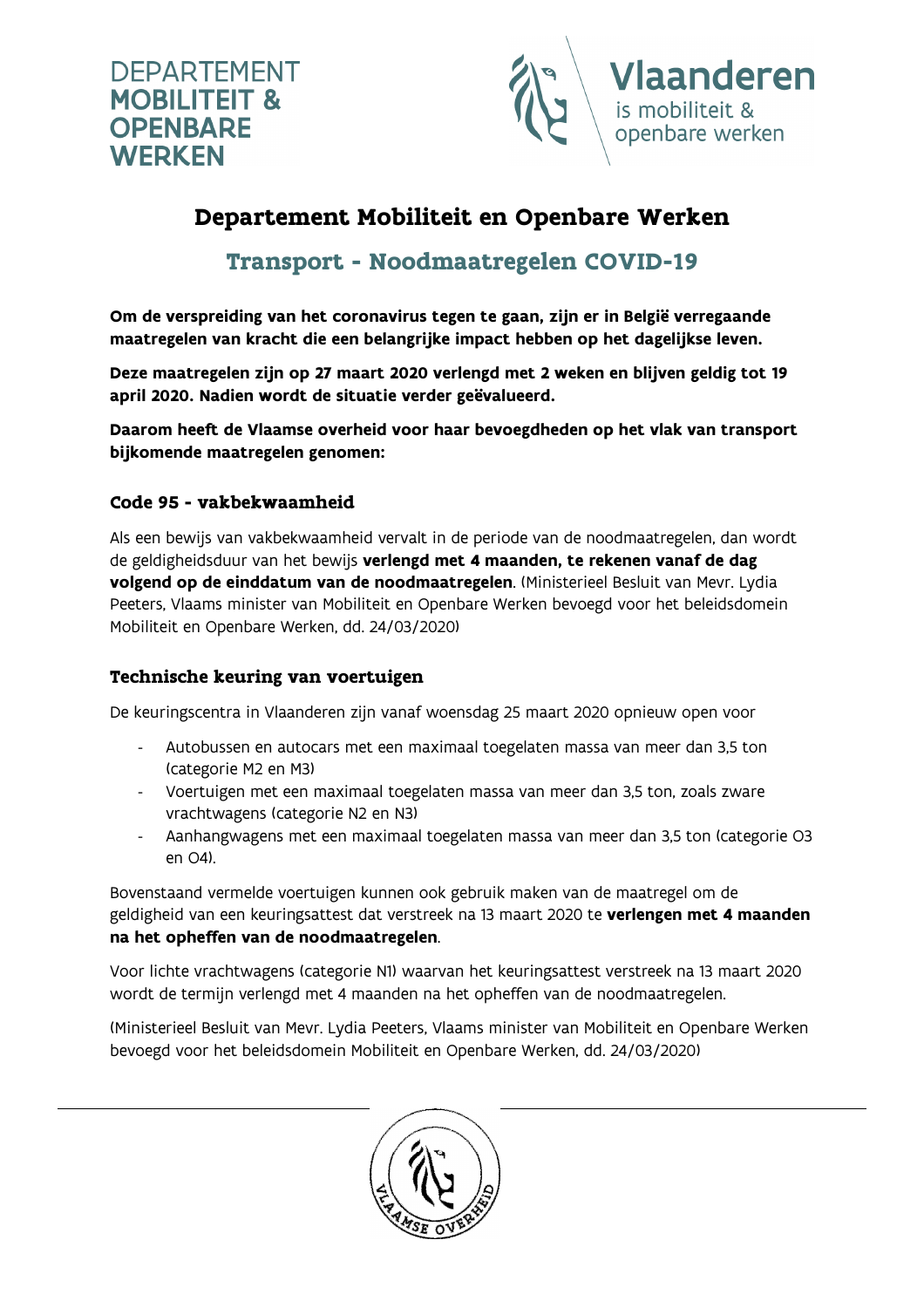



# Departement Mobiliteit en Openbare Werken

Transport - Noodmaatregelen COVID-19

Om de verspreiding van het coronavirus tegen te gaan, zijn er in België verregaande maatregelen van kracht die een belangrijke impact hebben op het dagelijkse leven.

Deze maatregelen zijn op 27 maart 2020 verlengd met 2 weken en blijven geldig tot 19 april 2020. Nadien wordt de situatie verder geëvalueerd.

Daarom heeft de Vlaamse overheid voor haar bevoegdheden op het vlak van transport bijkomende maatregelen genomen:

### Code 95 - vakbekwaamheid

Als een bewijs van vakbekwaamheid vervalt in de periode van de noodmaatregelen, dan wordt de geldigheidsduur van het bewijs verlengd met 4 maanden, te rekenen vanaf de dag volgend op de einddatum van de noodmaatregelen. (Ministerieel Besluit van Mevr. Lydia Peeters, Vlaams minister van Mobiliteit en Openbare Werken bevoegd voor het beleidsdomein Mobiliteit en Openbare Werken, dd. 24/03/2020)

#### Technische keuring van voertuigen

De keuringscentra in Vlaanderen zijn vanaf woensdag 25 maart 2020 opnieuw open voor

- Autobussen en autocars met een maximaal toegelaten massa van meer dan 3,5 ton (categorie M2 en M3)
- Voertuigen met een maximaal toegelaten massa van meer dan 3,5 ton, zoals zware vrachtwagens (categorie N2 en N3)
- Aanhangwagens met een maximaal toegelaten massa van meer dan 3,5 ton (categorie O3 en O4).

Bovenstaand vermelde voertuigen kunnen ook gebruik maken van de maatregel om de geldigheid van een keuringsattest dat verstreek na 13 maart 2020 te verlengen met 4 maanden na het opheffen van de noodmaatregelen.

Voor lichte vrachtwagens (categorie N1) waarvan het keuringsattest verstreek na 13 maart 2020 wordt de termijn verlengd met 4 maanden na het opheffen van de noodmaatregelen.

(Ministerieel Besluit van Mevr. Lydia Peeters, Vlaams minister van Mobiliteit en Openbare Werken bevoegd voor het beleidsdomein Mobiliteit en Openbare Werken, dd. 24/03/2020)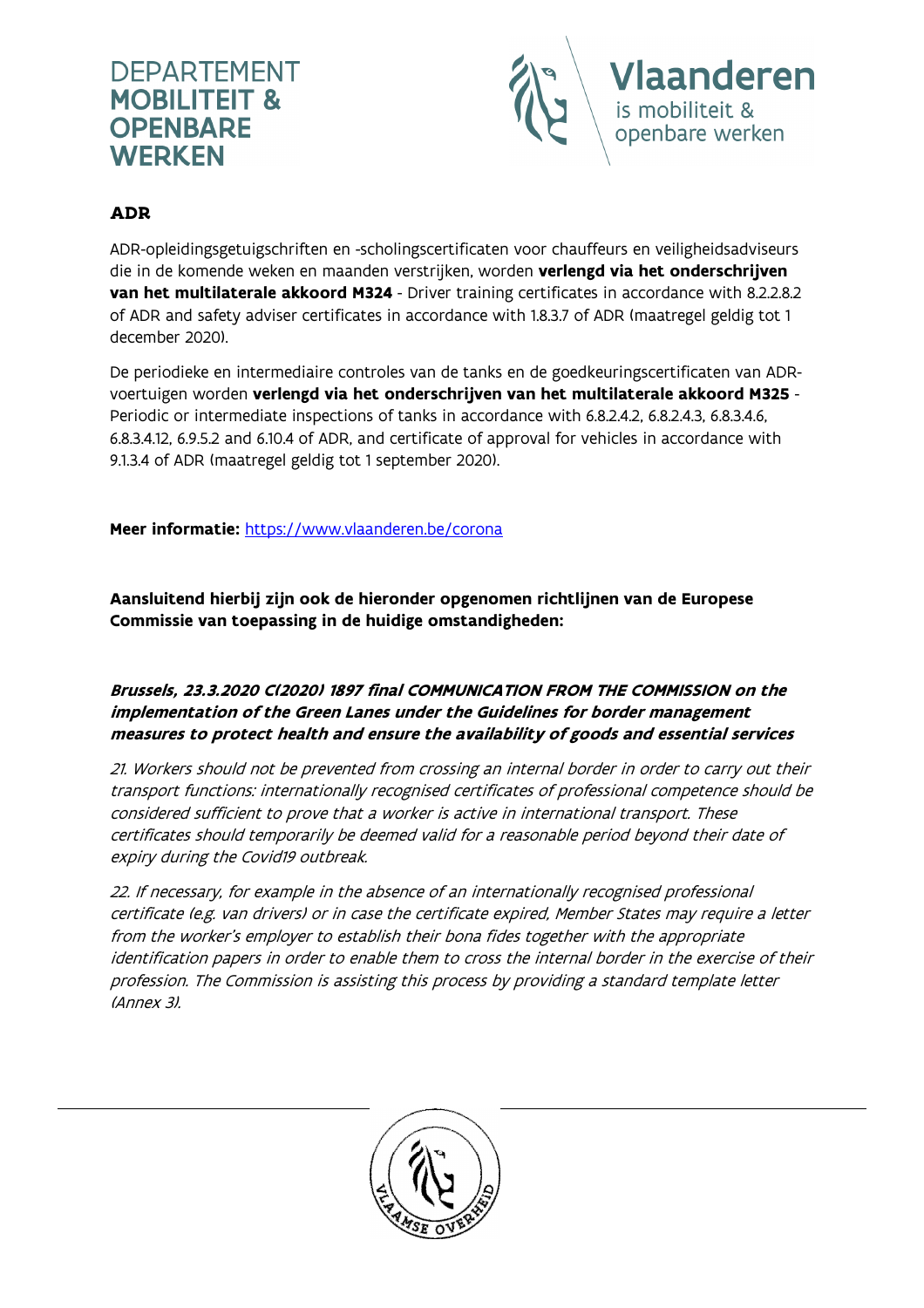# **DEPARTEMENT MOBILITEIT & OPENBARE WERKEN**



### ADR

ADR-opleidingsgetuigschriften en -scholingscertificaten voor chauffeurs en veiligheidsadviseurs die in de komende weken en maanden verstrijken, worden verlengd via het onderschrijven van het multilaterale akkoord M324 - Driver training certificates in accordance with 8.2.2.8.2 of ADR and safety adviser certificates in accordance with 1.8.3.7 of ADR (maatregel geldig tot 1 december 2020).

De periodieke en intermediaire controles van de tanks en de goedkeuringscertificaten van ADRvoertuigen worden verlengd via het onderschrijven van het multilaterale akkoord M325 - Periodic or intermediate inspections of tanks in accordance with 6.8.2.4.2, 6.8.2.4.3, 6.8.3.4.6, 6.8.3.4.12, 6.9.5.2 and 6.10.4 of ADR, and certificate of approval for vehicles in accordance with 9.1.3.4 of ADR (maatregel geldig tot 1 september 2020).

Meer informatie: https://www.vlaanderen.be/corona

Aansluitend hierbij zijn ook de hieronder opgenomen richtlijnen van de Europese Commissie van toepassing in de huidige omstandigheden:

#### Brussels, 23.3.2020 C(2020) 1897 final COMMUNICATION FROM THE COMMISSION on the implementation of the Green Lanes under the Guidelines for border management measures to protect health and ensure the availability of goods and essential services

21. Workers should not be prevented from crossing an internal border in order to carry out their transport functions: internationally recognised certificates of professional competence should be considered sufficient to prove that a worker is active in international transport. These certificates should temporarily be deemed valid for a reasonable period beyond their date of expiry during the Covid19 outbreak.

22. If necessary, for example in the absence of an internationally recognised professional certificate (e.g. van drivers) or in case the certificate expired, Member States may require a letter from the worker's employer to establish their bona fides together with the appropriate identification papers in order to enable them to cross the internal border in the exercise of their profession. The Commission is assisting this process by providing a standard template letter (Annex 3).

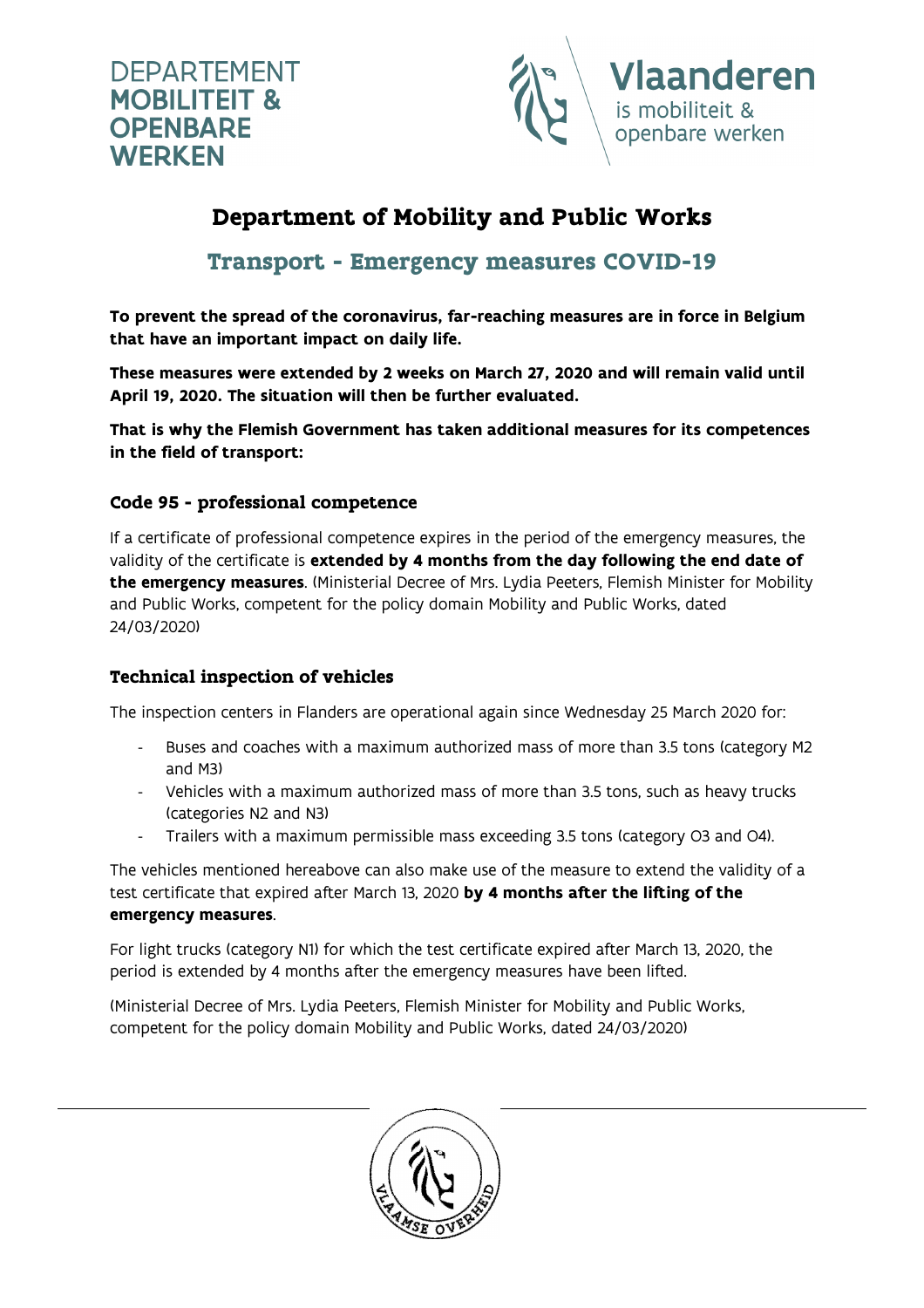



# Department of Mobility and Public Works

## Transport - Emergency measures COVID-19

To prevent the spread of the coronavirus, far-reaching measures are in force in Belgium that have an important impact on daily life.

These measures were extended by 2 weeks on March 27, 2020 and will remain valid until April 19, 2020. The situation will then be further evaluated.

That is why the Flemish Government has taken additional measures for its competences in the field of transport:

### Code 95 - professional competence

If a certificate of professional competence expires in the period of the emergency measures, the validity of the certificate is extended by 4 months from the day following the end date of the emergency measures. (Ministerial Decree of Mrs. Lydia Peeters, Flemish Minister for Mobility and Public Works, competent for the policy domain Mobility and Public Works, dated 24/03/2020)

#### Technical inspection of vehicles

The inspection centers in Flanders are operational again since Wednesday 25 March 2020 for:

- Buses and coaches with a maximum authorized mass of more than 3.5 tons (category M2 and M3)
- Vehicles with a maximum authorized mass of more than 3.5 tons, such as heavy trucks (categories N2 and N3)
- Trailers with a maximum permissible mass exceeding 3.5 tons (category O3 and O4).

The vehicles mentioned hereabove can also make use of the measure to extend the validity of a test certificate that expired after March 13, 2020 by 4 months after the lifting of the emergency measures.

For light trucks (category N1) for which the test certificate expired after March 13, 2020, the period is extended by 4 months after the emergency measures have been lifted.

(Ministerial Decree of Mrs. Lydia Peeters, Flemish Minister for Mobility and Public Works, competent for the policy domain Mobility and Public Works, dated 24/03/2020)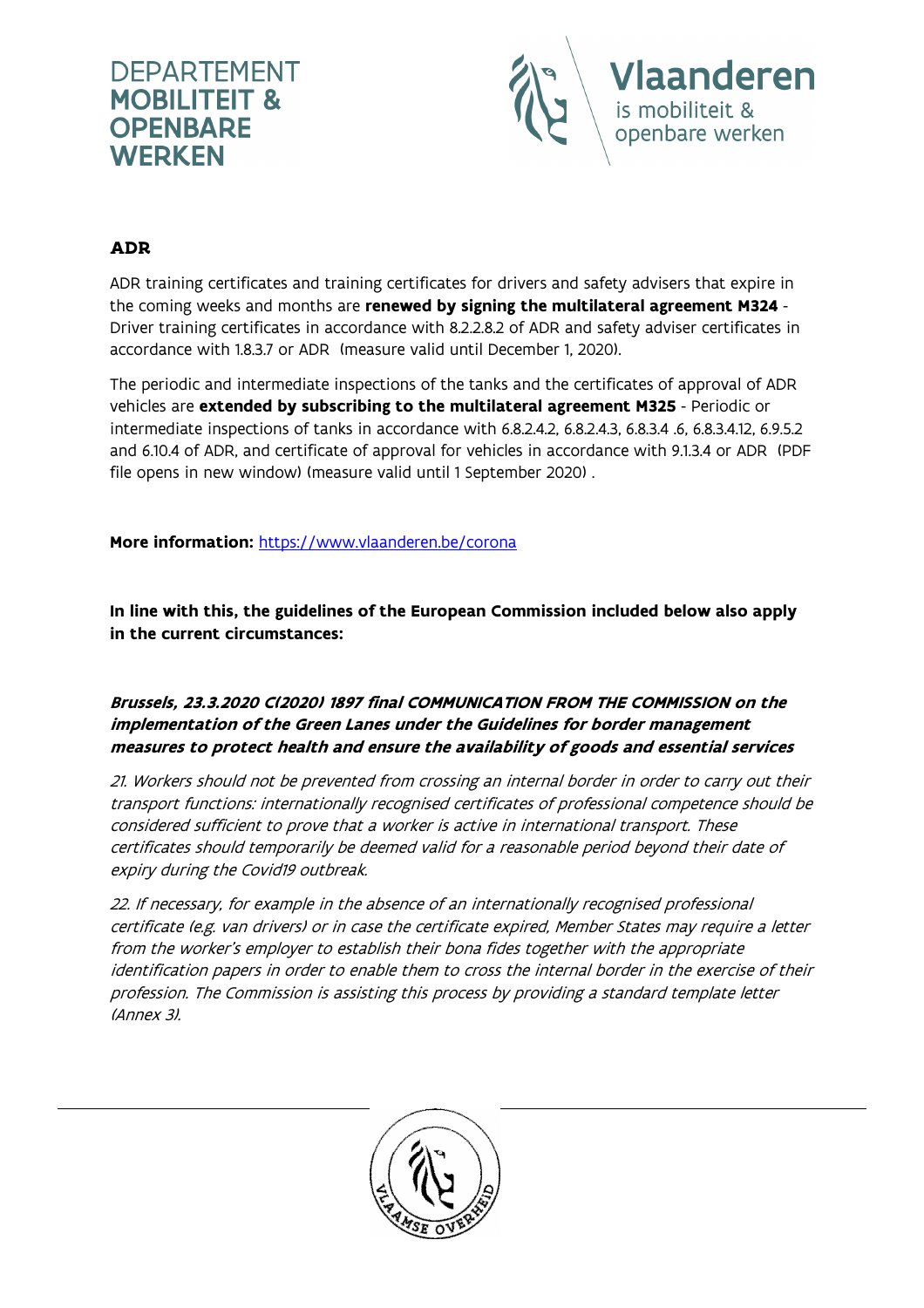



### ADR

ADR training certificates and training certificates for drivers and safety advisers that expire in the coming weeks and months are renewed by signing the multilateral agreement M324 -Driver training certificates in accordance with 8.2.2.8.2 of ADR and safety adviser certificates in accordance with 1.8.3.7 or ADR> (measure valid until December 1, 2020).

The periodic and intermediate inspections of the tanks and the certificates of approval of ADR vehicles are extended by subscribing to the multilateral agreement M325 - Periodic or intermediate inspections of tanks in accordance with 6.8.2.4.2, 6.8.2.4.3, 6.8.3.4 .6, 6.8.3.4.12, 6.9.5.2 and 6.10.4 of ADR, and certificate of approval for vehicles in accordance with 9.1.3.4 or ADR> (PDF file opens in new window) (measure valid until 1 September 2020) .

More information: https://www.vlaanderen.be/corona

In line with this, the guidelines of the European Commission included below also apply in the current circumstances:

#### Brussels, 23.3.2020 C(2020) 1897 final COMMUNICATION FROM THE COMMISSION on the implementation of the Green Lanes under the Guidelines for border management measures to protect health and ensure the availability of goods and essential services

21. Workers should not be prevented from crossing an internal border in order to carry out their transport functions: internationally recognised certificates of professional competence should be considered sufficient to prove that a worker is active in international transport. These certificates should temporarily be deemed valid for a reasonable period beyond their date of expiry during the Covid19 outbreak.

22. If necessary, for example in the absence of an internationally recognised professional certificate (e.g. van drivers) or in case the certificate expired, Member States may require a letter from the worker's employer to establish their bona fides together with the appropriate identification papers in order to enable them to cross the internal border in the exercise of their profession. The Commission is assisting this process by providing a standard template letter (Annex 3).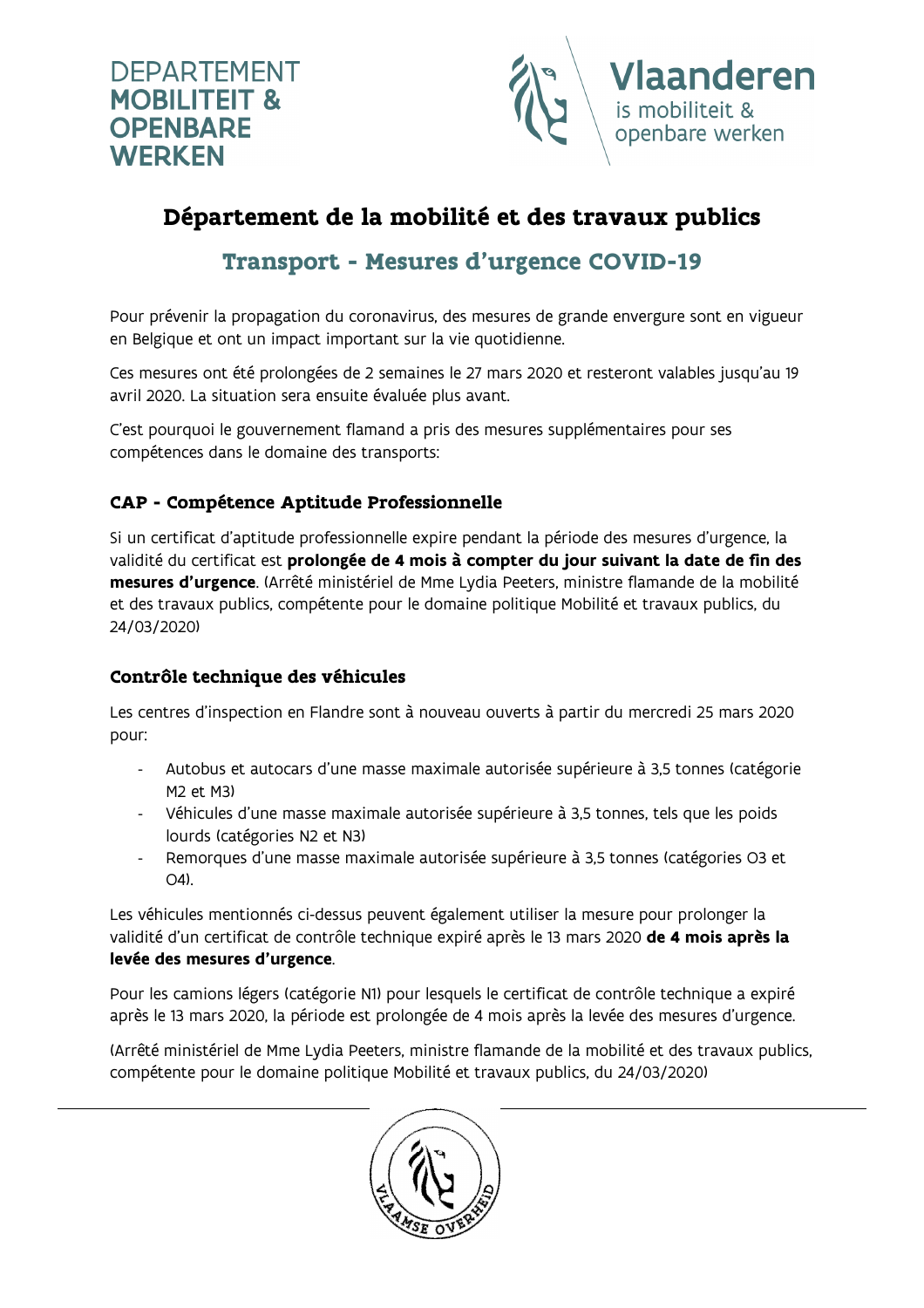



# Département de la mobilité et des travaux publics

## Transport - Mesures d'urgence COVID-19

Pour prévenir la propagation du coronavirus, des mesures de grande envergure sont en vigueur en Belgique et ont un impact important sur la vie quotidienne.

Ces mesures ont été prolongées de 2 semaines le 27 mars 2020 et resteront valables jusqu'au 19 avril 2020. La situation sera ensuite évaluée plus avant.

C'est pourquoi le gouvernement flamand a pris des mesures supplémentaires pour ses compétences dans le domaine des transports:

## CAP - Compétence Aptitude Professionnelle

Si un certificat d'aptitude professionnelle expire pendant la période des mesures d'urgence, la validité du certificat est prolongée de 4 mois à compter du jour suivant la date de fin des mesures d'urgence. (Arrêté ministériel de Mme Lydia Peeters, ministre flamande de la mobilité et des travaux publics, compétente pour le domaine politique Mobilité et travaux publics, du 24/03/2020)

### Contrôle technique des véhicules

Les centres d'inspection en Flandre sont à nouveau ouverts à partir du mercredi 25 mars 2020 pour:

- Autobus et autocars d'une masse maximale autorisée supérieure à 3,5 tonnes (catégorie M2 et M3)
- Véhicules d'une masse maximale autorisée supérieure à 3,5 tonnes, tels que les poids lourds (catégories N2 et N3)
- Remorques d'une masse maximale autorisée supérieure à 3,5 tonnes (catégories O3 et O4).

Les véhicules mentionnés ci-dessus peuvent également utiliser la mesure pour prolonger la validité d'un certificat de contrôle technique expiré après le 13 mars 2020 de 4 mois après la levée des mesures d'urgence.

Pour les camions légers (catégorie N1) pour lesquels le certificat de contrôle technique a expiré après le 13 mars 2020, la période est prolongée de 4 mois après la levée des mesures d'urgence.

(Arrêté ministériel de Mme Lydia Peeters, ministre flamande de la mobilité et des travaux publics, compétente pour le domaine politique Mobilité et travaux publics, du 24/03/2020)